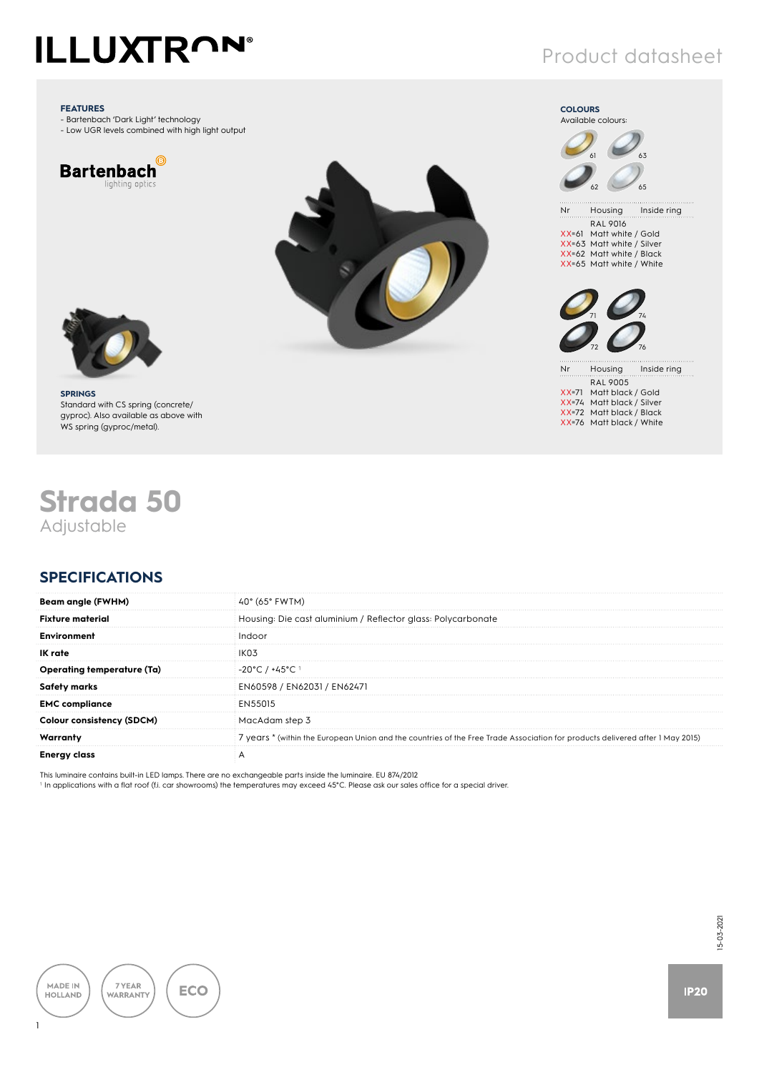### Product datasheet

Nr Housing Inside ring RAL 9016 XX=61 Matt white / Gold XX=63 Matt white / Silver XX=62 Matt white / Black XX=65 Matt white / White

63

65

Nr Housing Inside ring RAL 9005 XX=71 Matt black / Gold XX=74 Matt black / Silver XX=72 Matt black / Black XX=76 Matt black / White

74

76

**COLOURS** Available colours:

61

62

71

72

#### **FEATURES**

- Bartenbach 'Dark Light' technology - Low UGR levels combined with high light output







## **Strada 50** Adjustable

### **SPECIFICATIONS**

| $40^{\circ}$ (65 $^{\circ}$ FWTM)                                                                                             |
|-------------------------------------------------------------------------------------------------------------------------------|
| Housing: Die cast aluminium / Reflector glass: Polycarbonate                                                                  |
|                                                                                                                               |
|                                                                                                                               |
| -20°C / +45°C 1                                                                                                               |
| EN60598 / EN62031 / EN62471                                                                                                   |
| <b>FN55015</b>                                                                                                                |
| MacAdam step 3                                                                                                                |
| 7 years * (within the European Union and the countries of the Free Trade Association for products delivered after 1 May 2015) |
|                                                                                                                               |
|                                                                                                                               |

This luminaire contains built-in LED lamps. There are no exchangeable parts inside the luminaire. EU 874/2012

1 In applications with a flat roof (f.i. car showrooms) the temperatures may exceed 45°C. Please ask our sales office for a special driver.



15-03-2021 15-03-2021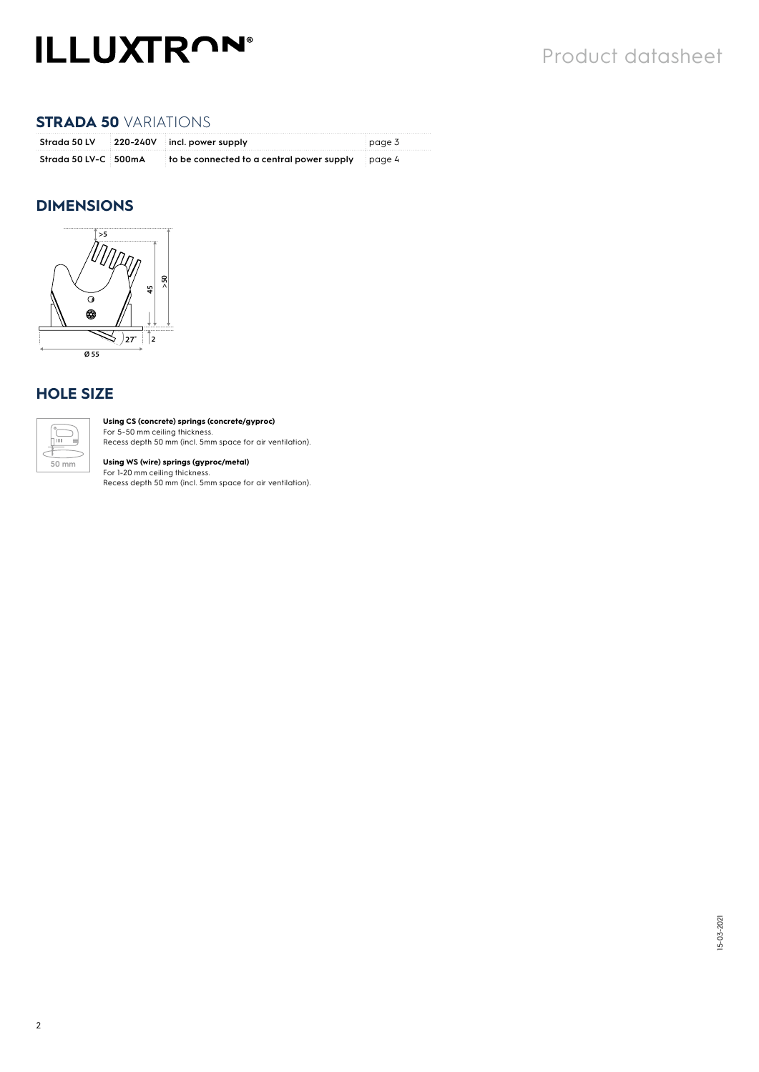#### **STRADA 50** VARIATIONS

|                      | Strada 50 LV 220-240V incl. power supply                     | page 3 |
|----------------------|--------------------------------------------------------------|--------|
| Strada 50 LV-C 500mA | $\pm$ to be connected to a central power supply $\pm$ page 4 |        |

#### **DIMENSIONS**



#### **HOLE SIZE**



**Using CS (concrete) springs (concrete/gyproc)**  For 5-50 mm ceiling thickness.

Recess depth 50 mm (incl. 5mm space for air ventilation).

**Using WS (wire) springs (gyproc/metal)**<br>For 1-20 mm ceiling thickness.<br>Recess depth 50 mm (incl. 5mm space for air ventilation).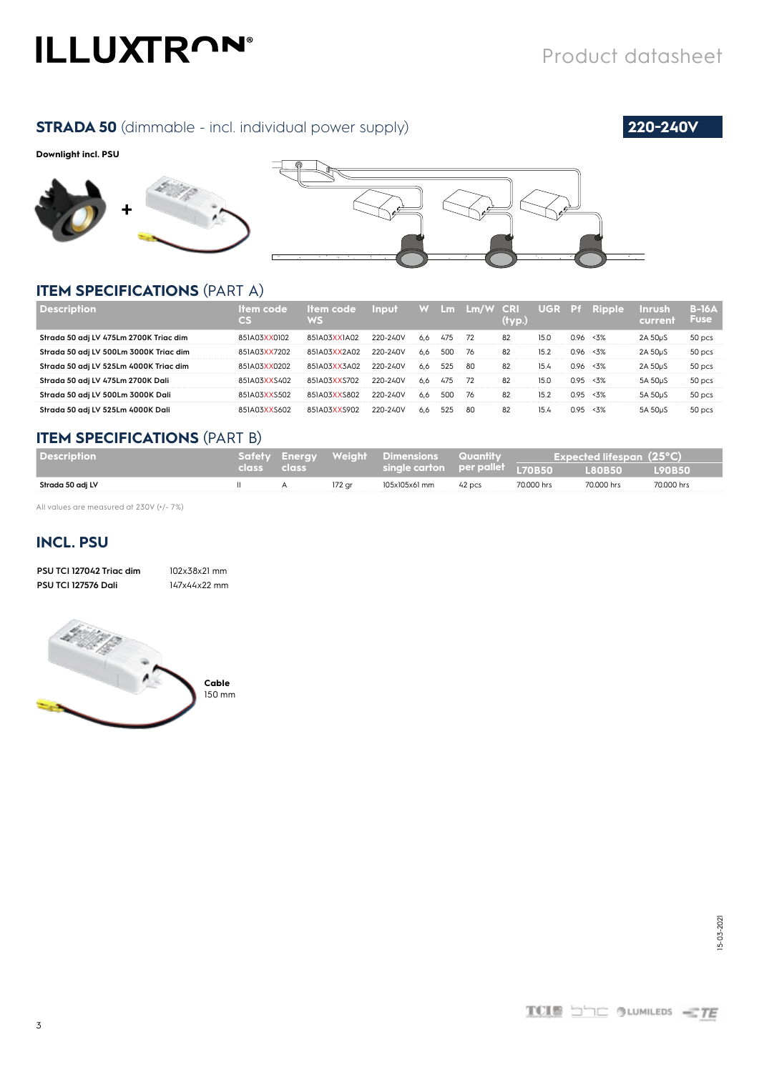#### **STRADA 50** (dimmable - incl. individual power supply) **220-240V**

#### **Downlight incl. PSU**







#### **ITEM SPECIFICATIONS** (PART A)

|                                        |              | ltem code :<br>WS | <b>Input</b> |     |     | W Lm Lm/W CRI | (tvo.) |      |       | ' UGR P <del>i</del> Ripple | <b>Inrush</b>        | $B-16A$<br>Fusel |
|----------------------------------------|--------------|-------------------|--------------|-----|-----|---------------|--------|------|-------|-----------------------------|----------------------|------------------|
| Strada 50 adj LV 475Lm 2700K Triac dim | 851A03XX0102 | 851A03XX1A02      | 220-240V     | 6.6 | 4/5 | 72            | 82     | 15.C | በ 96  | 32                          |                      | 50 pcs           |
| Strada 50 adj LV 500Lm 3000K Triac dim | IAN3XX7202   | 851A03XX2A02      | 220-240V     | 6.6 |     | 76            | 82     | 15.2 | በ 96  | $< 3\%$                     | 2A 50uS              | 50 pcs           |
| Strada 50 adj LV 525Lm 4000K Triac dim | 851A03XX0202 | 851A03XX3A02      | 220-240V     | 6.6 | 525 | -80           | 82     | 15.4 | በ 96. | $< 3\%$                     |                      | 50 pcs           |
| Strada 50 adj LV 475Lm 2700K Dali      | 851A03XXS402 | 851A03XXS702      | 220-240V     | 6.6 | 475 | -72           | 82     | 15.0 | n 95  | < 3%                        | 5A 50 <sub>u</sub> S | 50 pcs           |
| Strada 50 adj LV 500Lm 3000K Dali      | 851A03XXS502 | 851A03XXS802      | 220-240V     | 6.6 | 500 | 76            | 82     | 15.2 | n 95  | < 3%                        | 5A 50 <sub>u</sub> S | 50 pcs           |
| Strada 50 adj LV 525Lm 4000K Dali      | 03XXS602     | 851A03XXS902      | 220-240V     | 6.6 |     | -80           | 82     |      |       |                             |                      | 50 pcs           |

#### **ITEM SPECIFICATIONS** (PART B)

| l Description    |             |        | Safety Energy Weight Dimensions Quantity |        | Expected lifespan $(25^{\circ}C)$ |              |               |  |  |
|------------------|-------------|--------|------------------------------------------|--------|-----------------------------------|--------------|---------------|--|--|
|                  | class class |        |                                          |        |                                   | <b>BOR50</b> | <b>L90B50</b> |  |  |
| Strada 50 adj LV |             | 172 ar | 105x105x61 mm                            | 42 pcs | 70,000 hrs                        | 70.000 hrs   | 70.000 hrs    |  |  |

All values are measured at 230V (+/- 7%)

### **INCL. PSU**

| PSU TCI 127042 Triac dim   | 102x38x21 mm |
|----------------------------|--------------|
| <b>PSU TCI 127576 Dali</b> | 147x44x22 mm |